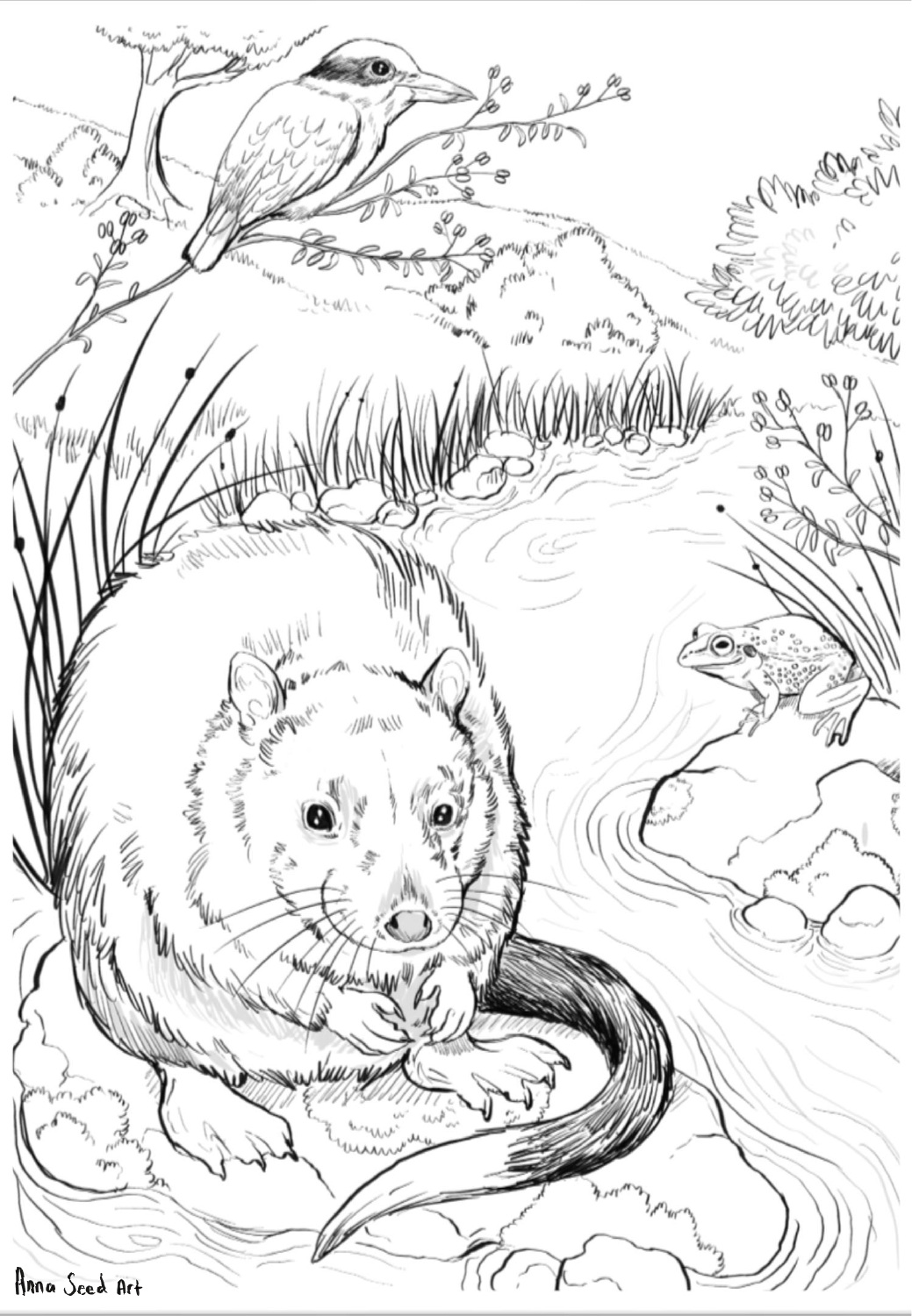